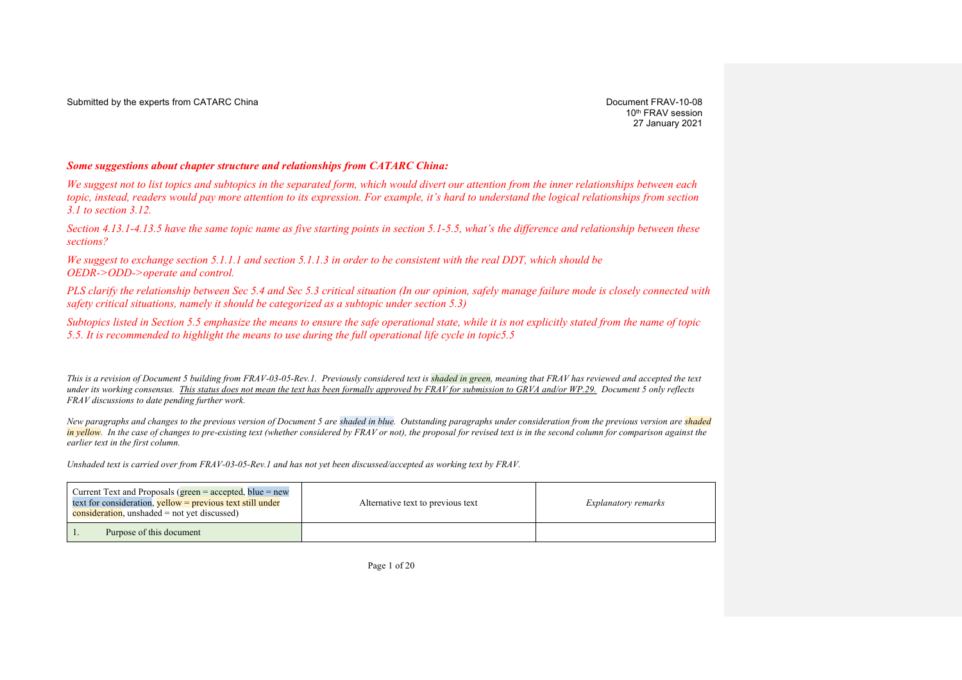Submitted by the experts from CATARC China Document FRAV-10-08

10<sup>th</sup> FRAV session 27 January 2021

### *Some suggestions about chapter structure and relationships from CATARC China:*

*We suggest not to list topics and subtopics in the separated form, which would divert our attention from the inner relationships between each topic, instead, readers would pay more attention to its expression. For example, it's hard to understand the logical relationships from section 3.1 to section 3.12.*

*Section 4.13.1-4.13.5 have the same topic name as five starting points in section 5.1-5.5, what's the difference and relationship between these sections?*

*We suggest to exchange section 5.1.1.1 and section 5.1.1.3 in order to be consistent with the real DDT, which should be OEDR->ODD->operate and control.* 

*PLS clarify the relationship between Sec 5.4 and Sec 5.3 critical situation (In our opinion, safely manage failure mode is closely connected with safety critical situations, namely it should be categorized as a subtopic under section 5.3)*

*Subtopics listed in Section 5.5 emphasize the means to ensure the safe operational state, while it is not explicitly stated from the name of topic 5.5. It is recommended to highlight the means to use during the full operational life cycle in topic5.5*

*This is a revision of Document 5 building from FRAV-03-05-Rev.1. Previously considered text is shaded in green, meaning that FRAV has reviewed and accepted the text under its working consensus. This status does not mean the text has been formally approved by FRAV for submission to GRVA and/or WP.29. Document 5 only reflects FRAV discussions to date pending further work.*

*New paragraphs and changes to the previous version of Document 5 are shaded in blue. Outstanding paragraphs under consideration from the previous version are shaded in yellow. In the case of changes to pre-existing text (whether considered by FRAV or not), the proposal for revised text is in the second column for comparison against the earlier text in the first column.*

*Unshaded text is carried over from FRAV-03-05-Rev.1 and has not yet been discussed/accepted as working text by FRAV.*

| Current Text and Proposals (green = accepted, blue = new<br>text for consideration, $yellow =$ previous text still under<br>$consideration$ , unshaded = not yet discussed) | Alternative text to previous text | Explanatory remarks |
|-----------------------------------------------------------------------------------------------------------------------------------------------------------------------------|-----------------------------------|---------------------|
| Purpose of this document                                                                                                                                                    |                                   |                     |

Page 1 of 20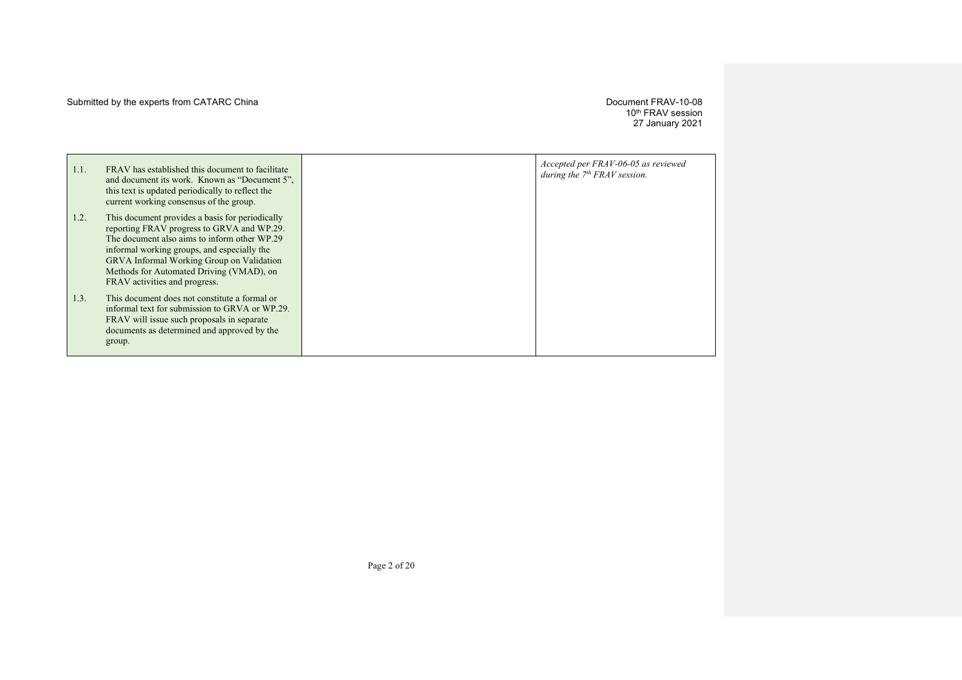## Submitted by the experts from CATARC China development of the state of the Document FRAV-10-08

10th FRAV session 27 January 2021

| 1.1. | FRAV has established this document to facilitate<br>and document its work. Known as "Document 5",<br>this text is updated periodically to reflect the<br>current working consensus of the group.                                                                                                                              | Accepted per FRAV-06-05 as reviewed<br>during the $7th FRAV$ session. |
|------|-------------------------------------------------------------------------------------------------------------------------------------------------------------------------------------------------------------------------------------------------------------------------------------------------------------------------------|-----------------------------------------------------------------------|
| 1.2. | This document provides a basis for periodically<br>reporting FRAV progress to GRVA and WP.29.<br>The document also aims to inform other WP.29<br>informal working groups, and especially the<br><b>GRVA Informal Working Group on Validation</b><br>Methods for Automated Driving (VMAD), on<br>FRAV activities and progress. |                                                                       |
| 1.3. | This document does not constitute a formal or<br>informal text for submission to GRVA or WP.29.<br>FRAV will issue such proposals in separate<br>documents as determined and approved by the<br>group.                                                                                                                        |                                                                       |

Page 2 of 20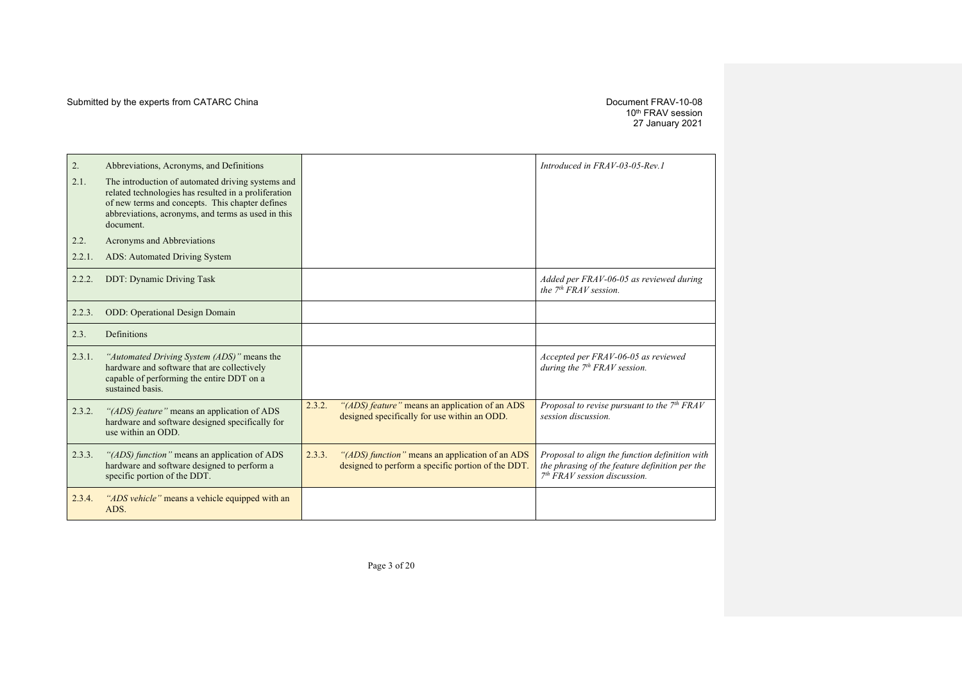10th FRAV session 27 January 2021

| 2.     | Abbreviations, Acronyms, and Definitions                                                                                                                                                                                        |        |                                                                                                       | Introduced in FRAV-03-05-Rev. 1                                                                                                    |
|--------|---------------------------------------------------------------------------------------------------------------------------------------------------------------------------------------------------------------------------------|--------|-------------------------------------------------------------------------------------------------------|------------------------------------------------------------------------------------------------------------------------------------|
| 2.1.   | The introduction of automated driving systems and<br>related technologies has resulted in a proliferation<br>of new terms and concepts. This chapter defines<br>abbreviations, acronyms, and terms as used in this<br>document. |        |                                                                                                       |                                                                                                                                    |
| 2.2.   | Acronyms and Abbreviations                                                                                                                                                                                                      |        |                                                                                                       |                                                                                                                                    |
| 2.2.1. | ADS: Automated Driving System                                                                                                                                                                                                   |        |                                                                                                       |                                                                                                                                    |
| 2.2.2. | <b>DDT: Dynamic Driving Task</b>                                                                                                                                                                                                |        |                                                                                                       | Added per FRAV-06-05 as reviewed during<br>the $7th FRAV$ session.                                                                 |
| 2.2.3. | <b>ODD:</b> Operational Design Domain                                                                                                                                                                                           |        |                                                                                                       |                                                                                                                                    |
| 2.3.   | Definitions                                                                                                                                                                                                                     |        |                                                                                                       |                                                                                                                                    |
| 2.3.1. | "Automated Driving System (ADS)" means the<br>hardware and software that are collectively<br>capable of performing the entire DDT on a<br>sustained basis.                                                                      |        |                                                                                                       | Accepted per FRAV-06-05 as reviewed<br>during the $7th FRAV$ session.                                                              |
| 2.3.2. | "(ADS) feature" means an application of ADS<br>hardware and software designed specifically for<br>use within an ODD.                                                                                                            | 2.3.2. | "(ADS) feature" means an application of an ADS<br>designed specifically for use within an ODD.        | Proposal to revise pursuant to the $7th FRAV$<br>session discussion.                                                               |
| 2.3.3. | "(ADS) function" means an application of ADS<br>hardware and software designed to perform a<br>specific portion of the DDT.                                                                                                     | 2.3.3. | "(ADS) function" means an application of an ADS<br>designed to perform a specific portion of the DDT. | Proposal to align the function definition with<br>the phrasing of the feature definition per the<br>$7th FRAV session discussion.$ |
| 2.3.4. | "ADS vehicle" means a vehicle equipped with an<br>ADS.                                                                                                                                                                          |        |                                                                                                       |                                                                                                                                    |
|        |                                                                                                                                                                                                                                 |        |                                                                                                       |                                                                                                                                    |

Page 3 of 20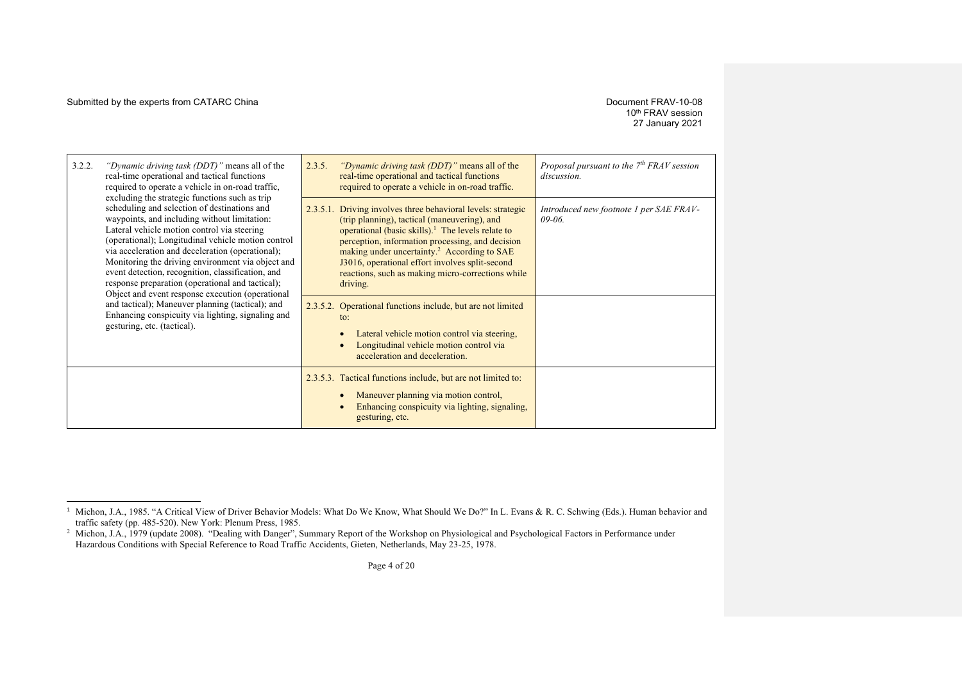#### Submitted by the experts from CATARC China  $D$  Document FRAV-10-08

## 10<sup>th</sup> FRAV session 27 January 2021

| 3.2.2.<br>"Dynamic driving task (DDT)" means all of the<br>real-time operational and tactical functions<br>required to operate a vehicle in on-road traffic,                                                                                                                                                                                                                                                                                                                                                                                                                                                                                                      | 2.3.5.<br>"Dynamic driving task (DDT)" means all of the<br>real-time operational and tactical functions<br>required to operate a vehicle in on-road traffic.                                                                                                                                                                                                                                                                                                                                                                                                                                                                                              | Proposal pursuant to the $7th FRAV$ session<br>discussion. |
|-------------------------------------------------------------------------------------------------------------------------------------------------------------------------------------------------------------------------------------------------------------------------------------------------------------------------------------------------------------------------------------------------------------------------------------------------------------------------------------------------------------------------------------------------------------------------------------------------------------------------------------------------------------------|-----------------------------------------------------------------------------------------------------------------------------------------------------------------------------------------------------------------------------------------------------------------------------------------------------------------------------------------------------------------------------------------------------------------------------------------------------------------------------------------------------------------------------------------------------------------------------------------------------------------------------------------------------------|------------------------------------------------------------|
| excluding the strategic functions such as trip<br>scheduling and selection of destinations and<br>waypoints, and including without limitation:<br>Lateral vehicle motion control via steering<br>(operational); Longitudinal vehicle motion control<br>via acceleration and deceleration (operational);<br>Monitoring the driving environment via object and<br>event detection, recognition, classification, and<br>response preparation (operational and tactical);<br>Object and event response execution (operational<br>and tactical); Maneuver planning (tactical); and<br>Enhancing conspicuity via lighting, signaling and<br>gesturing, etc. (tactical). | 2.3.5.1. Driving involves three behavioral levels: strategic<br>(trip planning), tactical (maneuvering), and<br>operational (basic skills). <sup>1</sup> The levels relate to<br>perception, information processing, and decision<br>making under uncertainty. <sup>2</sup> According to SAE<br>J3016, operational effort involves split-second<br>reactions, such as making micro-corrections while<br>driving.<br>2.3.5.2. Operational functions include, but are not limited<br>$\mathsf{to}$ :<br>Lateral vehicle motion control via steering,<br>$\bullet$<br>Longitudinal vehicle motion control via<br>$\bullet$<br>acceleration and deceleration. | Introduced new footnote 1 per SAE FRAV-<br>$09 - 06$       |
|                                                                                                                                                                                                                                                                                                                                                                                                                                                                                                                                                                                                                                                                   | 2.3.5.3. Tactical functions include, but are not limited to:<br>Maneuver planning via motion control,<br>$\bullet$<br>Enhancing conspicuity via lighting, signaling,<br>$\bullet$<br>gesturing, etc.                                                                                                                                                                                                                                                                                                                                                                                                                                                      |                                                            |

<sup>&</sup>lt;sup>1</sup> Michon, J.A., 1985. "A Critical View of Driver Behavior Models: What Do We Know, What Should We Do?" In L. Evans & R. C. Schwing (Eds.). Human behavior and traffic safety (pp. 485-520). New York: Plenum Press, 1985.

<sup>&</sup>lt;sup>2</sup> Michon, J.A., 1979 (update 2008). "Dealing with Danger", Summary Report of the Workshop on Physiological and Psychological Factors in Performance under Hazardous Conditions with Special Reference to Road Traffic Accidents, Gieten, Netherlands, May 23-25, 1978.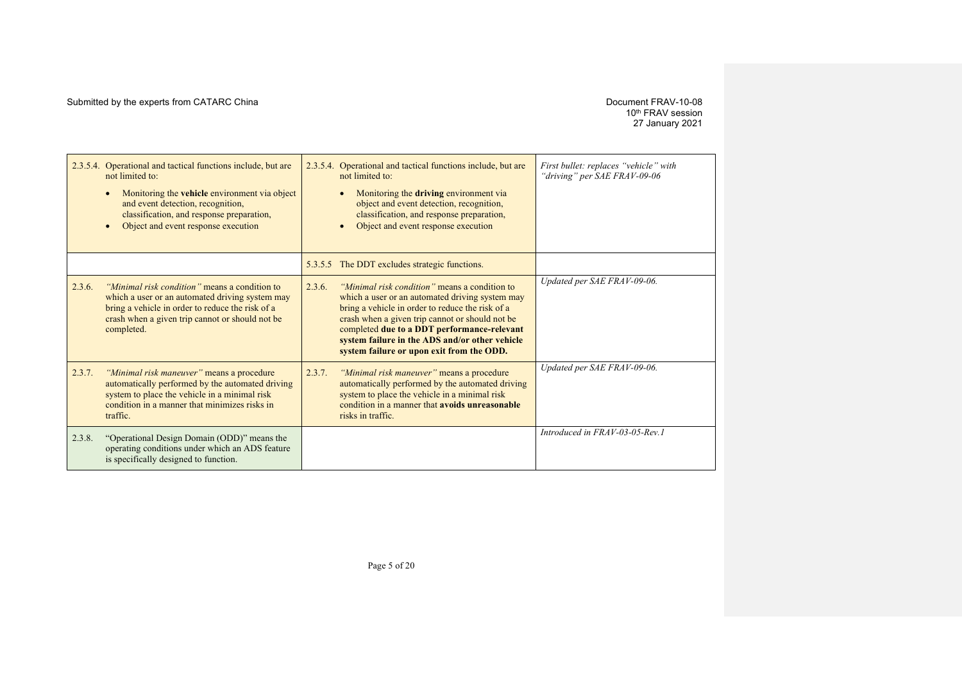# 10th FRAV session 27 January 2021

|        | 2.3.5.4. Operational and tactical functions include, but are<br>not limited to:<br>Monitoring the <b>vehicle</b> environment via object<br>and event detection, recognition,<br>classification, and response preparation,<br>Object and event response execution |        | 2.3.5.4. Operational and tactical functions include, but are<br>not limited to:<br>Monitoring the driving environment via<br>object and event detection, recognition,<br>classification, and response preparation,<br>Object and event response execution                                                                                             | First bullet: replaces "vehicle" with<br>"driving" per SAE FRAV-09-06 |
|--------|------------------------------------------------------------------------------------------------------------------------------------------------------------------------------------------------------------------------------------------------------------------|--------|-------------------------------------------------------------------------------------------------------------------------------------------------------------------------------------------------------------------------------------------------------------------------------------------------------------------------------------------------------|-----------------------------------------------------------------------|
|        |                                                                                                                                                                                                                                                                  |        | 5.3.5.5 The DDT excludes strategic functions.                                                                                                                                                                                                                                                                                                         |                                                                       |
| 2.3.6. | "Minimal risk condition" means a condition to<br>which a user or an automated driving system may<br>bring a vehicle in order to reduce the risk of a<br>crash when a given trip cannot or should not be<br>completed.                                            | 2.3.6. | "Minimal risk condition" means a condition to<br>which a user or an automated driving system may<br>bring a vehicle in order to reduce the risk of a<br>crash when a given trip cannot or should not be<br>completed due to a DDT performance-relevant<br>system failure in the ADS and/or other vehicle<br>system failure or upon exit from the ODD. | Updated per SAE FRAV-09-06.                                           |
| 2.3.7. | "Minimal risk maneuver" means a procedure<br>automatically performed by the automated driving<br>system to place the vehicle in a minimal risk<br>condition in a manner that minimizes risks in<br>traffic.                                                      | 2.3.7. | "Minimal risk maneuver" means a procedure<br>automatically performed by the automated driving<br>system to place the vehicle in a minimal risk<br>condition in a manner that avoids unreasonable<br>risks in traffic.                                                                                                                                 | Updated per SAE FRAV-09-06.                                           |
| 2.3.8. | "Operational Design Domain (ODD)" means the<br>operating conditions under which an ADS feature<br>is specifically designed to function.                                                                                                                          |        |                                                                                                                                                                                                                                                                                                                                                       | Introduced in FRAV-03-05-Rev.1                                        |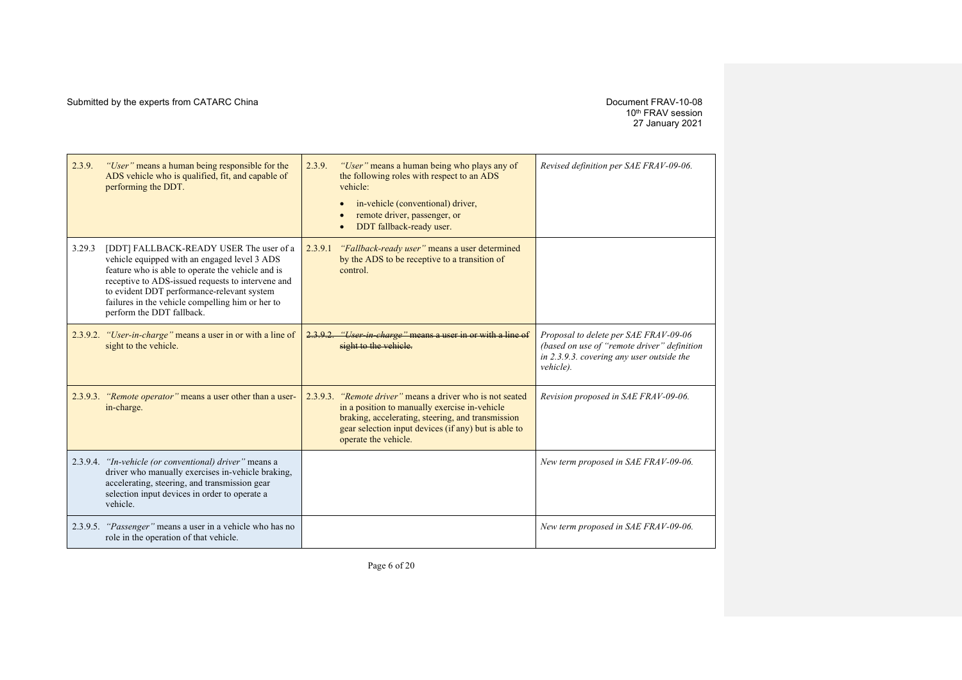10th FRAV session 27 January 2021

| 2.3.9. | "User" means a human being responsible for the<br>ADS vehicle who is qualified, fit, and capable of<br>performing the DDT.                                                                                                                                                                                                       | 2.3.9.   | "User" means a human being who plays any of<br>the following roles with respect to an ADS<br>vehicle:<br>in-vehicle (conventional) driver,<br>remote driver, passenger, or<br>DDT fallback-ready user.                                        | Revised definition per SAE FRAV-09-06.                                                                                                         |
|--------|----------------------------------------------------------------------------------------------------------------------------------------------------------------------------------------------------------------------------------------------------------------------------------------------------------------------------------|----------|-----------------------------------------------------------------------------------------------------------------------------------------------------------------------------------------------------------------------------------------------|------------------------------------------------------------------------------------------------------------------------------------------------|
| 3.29.3 | [DDT] FALLBACK-READY USER The user of a<br>vehicle equipped with an engaged level 3 ADS<br>feature who is able to operate the vehicle and is<br>receptive to ADS-issued requests to intervene and<br>to evident DDT performance-relevant system<br>failures in the vehicle compelling him or her to<br>perform the DDT fallback. | 2.3.9.1  | "Fallback-ready user" means a user determined<br>by the ADS to be receptive to a transition of<br>control.                                                                                                                                    |                                                                                                                                                |
|        | 2.3.9.2. "User-in-charge" means a user in or with a line of<br>sight to the vehicle.                                                                                                                                                                                                                                             | 2.3.9.2  | "User in charge" means a user in or with a line of<br>sight to the vehicle.                                                                                                                                                                   | Proposal to delete per SAE FRAV-09-06<br>(based on use of "remote driver" definition<br>in 2.3.9.3. covering any user outside the<br>vehicle). |
|        | 2.3.9.3. "Remote operator" means a user other than a user-<br>in-charge.                                                                                                                                                                                                                                                         | 2.3.9.3. | <i>"Remote driver"</i> means a driver who is not seated<br>in a position to manually exercise in-vehicle<br>braking, accelerating, steering, and transmission<br>gear selection input devices (if any) but is able to<br>operate the vehicle. | Revision proposed in SAE FRAV-09-06.                                                                                                           |
|        | 2.3.9.4. "In-vehicle (or conventional) driver" means a<br>driver who manually exercises in-vehicle braking,<br>accelerating, steering, and transmission gear<br>selection input devices in order to operate a<br>vehicle.                                                                                                        |          |                                                                                                                                                                                                                                               | New term proposed in SAE FRAV-09-06.                                                                                                           |
|        | 2.3.9.5. "Passenger" means a user in a vehicle who has no<br>role in the operation of that vehicle.                                                                                                                                                                                                                              |          |                                                                                                                                                                                                                                               | New term proposed in SAE FRAV-09-06.                                                                                                           |

Page 6 of 20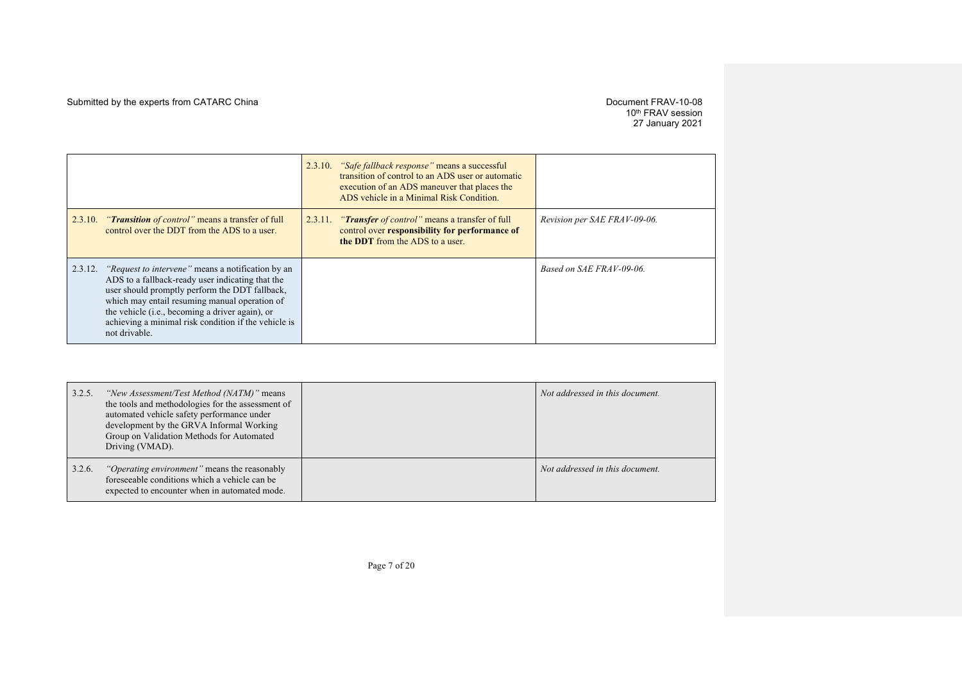# 10th FRAV session 27 January 2021

|         |                                                                                                                                                                                                                                                                                                                                                      |         | 2.3.10. "Safe fallback response" means a successful<br>transition of control to an ADS user or automatic<br>execution of an ADS maneuver that places the<br>ADS vehicle in a Minimal Risk Condition. |                              |
|---------|------------------------------------------------------------------------------------------------------------------------------------------------------------------------------------------------------------------------------------------------------------------------------------------------------------------------------------------------------|---------|------------------------------------------------------------------------------------------------------------------------------------------------------------------------------------------------------|------------------------------|
| 2.3.10. | <i>"Transition of control"</i> means a transfer of full<br>control over the DDT from the ADS to a user.                                                                                                                                                                                                                                              | 2.3.11. | <i>"Transfer of control"</i> means a transfer of full<br>control over responsibility for performance of<br>the DDT from the ADS to a user.                                                           | Revision per SAE FRAV-09-06. |
| 2.3.12. | <i>"Request to intervene"</i> means a notification by an<br>ADS to a fallback-ready user indicating that the<br>user should promptly perform the DDT fallback,<br>which may entail resuming manual operation of<br>the vehicle ( <i>i.e.</i> , becoming a driver again), or<br>achieving a minimal risk condition if the vehicle is<br>not drivable. |         |                                                                                                                                                                                                      | Based on SAE FRAV-09-06.     |

| 3.2.5. | "New Assessment/Test Method (NATM)" means<br>the tools and methodologies for the assessment of<br>automated vehicle safety performance under<br>development by the GRVA Informal Working<br>Group on Validation Methods for Automated<br>Driving (VMAD). | Not addressed in this document. |
|--------|----------------------------------------------------------------------------------------------------------------------------------------------------------------------------------------------------------------------------------------------------------|---------------------------------|
| 3.2.6. | <i>"Operating environment"</i> means the reasonably<br>foreseeable conditions which a vehicle can be<br>expected to encounter when in automated mode.                                                                                                    | Not addressed in this document. |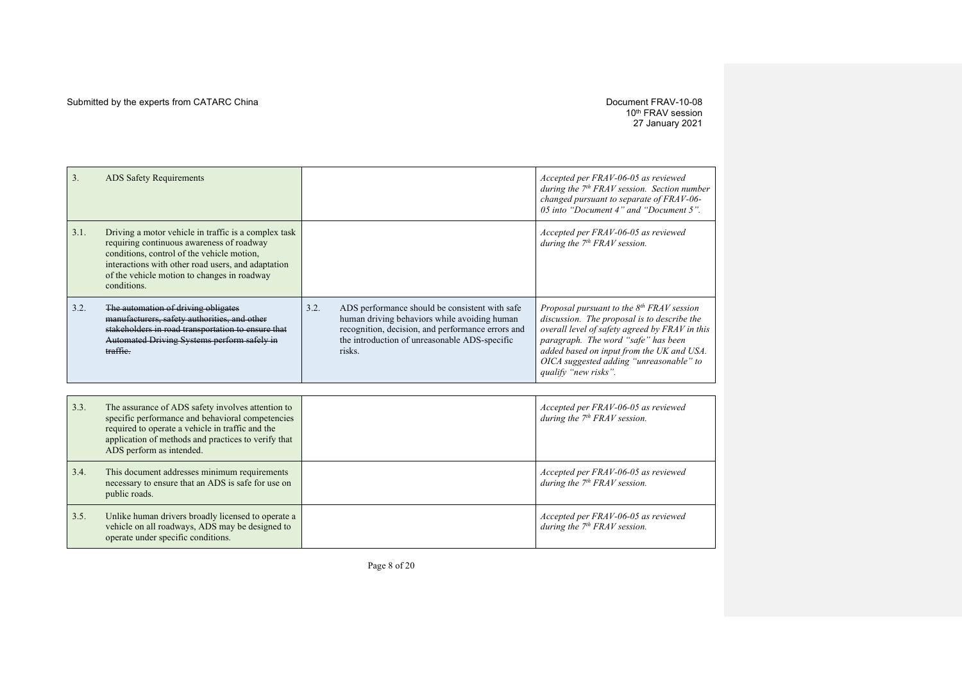10th FRAV session 27 January 2021

| 3.   | <b>ADS Safety Requirements</b>                                                                                                                                                                                                                                      |      |                                                                                                                                                                                                                | Accepted per FRAV-06-05 as reviewed<br>during the $7th FRAVsession$ . Section number<br>changed pursuant to separate of FRAV-06-<br>05 into "Document 4" and "Document 5".                                                                                                                             |
|------|---------------------------------------------------------------------------------------------------------------------------------------------------------------------------------------------------------------------------------------------------------------------|------|----------------------------------------------------------------------------------------------------------------------------------------------------------------------------------------------------------------|--------------------------------------------------------------------------------------------------------------------------------------------------------------------------------------------------------------------------------------------------------------------------------------------------------|
| 3.1. | Driving a motor vehicle in traffic is a complex task<br>requiring continuous awareness of roadway<br>conditions, control of the vehicle motion,<br>interactions with other road users, and adaptation<br>of the vehicle motion to changes in roadway<br>conditions. |      |                                                                                                                                                                                                                | Accepted per FRAV-06-05 as reviewed<br>during the $7th FRAV$ session.                                                                                                                                                                                                                                  |
| 3.2. | The automation of driving obligates<br>manufacturers, safety authorities, and other<br>stakeholders in road transportation to ensure that<br>Automated Driving Systems perform safely in<br>traffic.                                                                | 3.2. | ADS performance should be consistent with safe<br>human driving behaviors while avoiding human<br>recognition, decision, and performance errors and<br>the introduction of unreasonable ADS-specific<br>risks. | Proposal pursuant to the $8^{th}$ FRAV session<br>discussion. The proposal is to describe the<br>overall level of safety agreed by FRAV in this<br>paragraph. The word "safe" has been<br>added based on input from the UK and USA.<br>OICA suggested adding "unreasonable" to<br>qualify "new risks". |
|      |                                                                                                                                                                                                                                                                     |      |                                                                                                                                                                                                                |                                                                                                                                                                                                                                                                                                        |
| 3.3. | The assurance of ADS safety involves attention to<br>specific performance and behavioral competencies<br>required to operate a vehicle in traffic and the<br>application of methods and practices to verify that<br>ADS perform as intended.                        |      |                                                                                                                                                                                                                | Accepted per FRAV-06-05 as reviewed<br>during the $7th FRAV$ session.                                                                                                                                                                                                                                  |
| 3.4. | This document addresses minimum requirements<br>necessary to ensure that an ADS is safe for use on<br>public roads.                                                                                                                                                 |      |                                                                                                                                                                                                                | Accepted per FRAV-06-05 as reviewed<br>during the $7th FRAV$ session.                                                                                                                                                                                                                                  |
| 3.5. | Unlike human drivers broadly licensed to operate a<br>vehicle on all roadways, ADS may be designed to<br>operate under specific conditions.                                                                                                                         |      |                                                                                                                                                                                                                | Accepted per FRAV-06-05 as reviewed<br>during the $7th FRAV$ session.                                                                                                                                                                                                                                  |

Page 8 of 20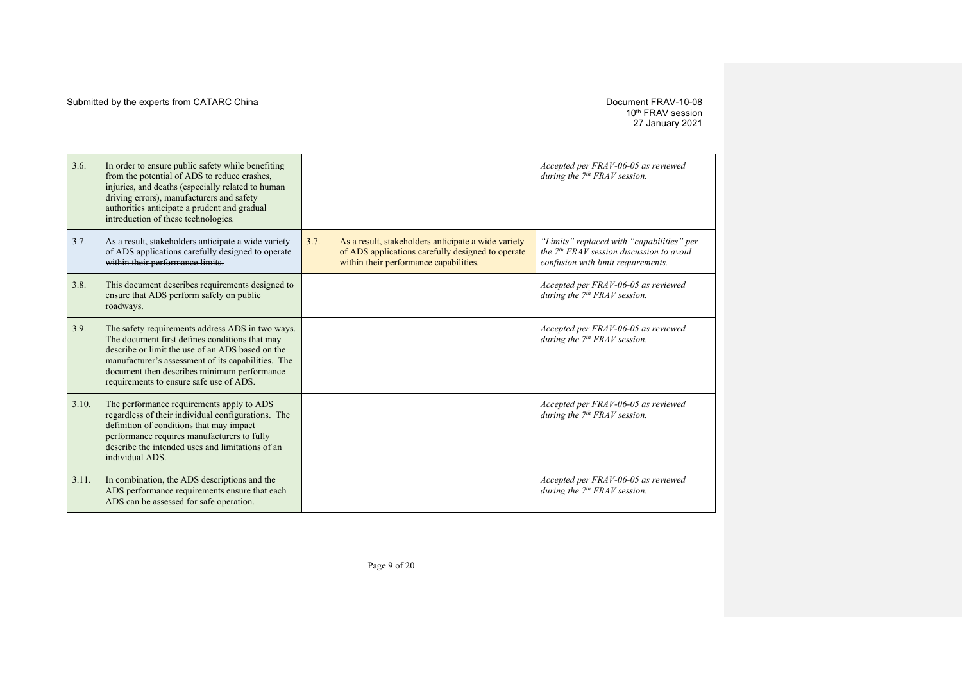# 10th FRAV session 27 January 2021

| 3.6.  | In order to ensure public safety while benefiting<br>from the potential of ADS to reduce crashes,<br>injuries, and deaths (especially related to human<br>driving errors), manufacturers and safety<br>authorities anticipate a prudent and gradual<br>introduction of these technologies.             |      |                                                                                                                                                    | Accepted per FRAV-06-05 as reviewed<br>during the $7th FRAV$ session.                                                         |
|-------|--------------------------------------------------------------------------------------------------------------------------------------------------------------------------------------------------------------------------------------------------------------------------------------------------------|------|----------------------------------------------------------------------------------------------------------------------------------------------------|-------------------------------------------------------------------------------------------------------------------------------|
| 3.7.  | As a result, stakeholders anticipate a wide variety<br>of ADS applications carefully designed to operate<br>within their performance limits.                                                                                                                                                           | 3.7. | As a result, stakeholders anticipate a wide variety<br>of ADS applications carefully designed to operate<br>within their performance capabilities. | "Limits" replaced with "capabilities" per<br>the $7th FRAV$ session discussion to avoid<br>confusion with limit requirements. |
| 3.8.  | This document describes requirements designed to<br>ensure that ADS perform safely on public<br>roadways.                                                                                                                                                                                              |      |                                                                                                                                                    | Accepted per FRAV-06-05 as reviewed<br>during the $7th FRAV$ session.                                                         |
| 3.9.  | The safety requirements address ADS in two ways.<br>The document first defines conditions that may<br>describe or limit the use of an ADS based on the<br>manufacturer's assessment of its capabilities. The<br>document then describes minimum performance<br>requirements to ensure safe use of ADS. |      |                                                                                                                                                    | Accepted per FRAV-06-05 as reviewed<br>during the $7th FRAV$ session.                                                         |
| 3.10. | The performance requirements apply to ADS<br>regardless of their individual configurations. The<br>definition of conditions that may impact<br>performance requires manufacturers to fully<br>describe the intended uses and limitations of an<br>individual ADS.                                      |      |                                                                                                                                                    | Accepted per FRAV-06-05 as reviewed<br>during the $7th FRAV$ session.                                                         |
| 3.11. | In combination, the ADS descriptions and the<br>ADS performance requirements ensure that each<br>ADS can be assessed for safe operation.                                                                                                                                                               |      |                                                                                                                                                    | Accepted per FRAV-06-05 as reviewed<br>during the $7th FRAV$ session.                                                         |

Page 9 of 20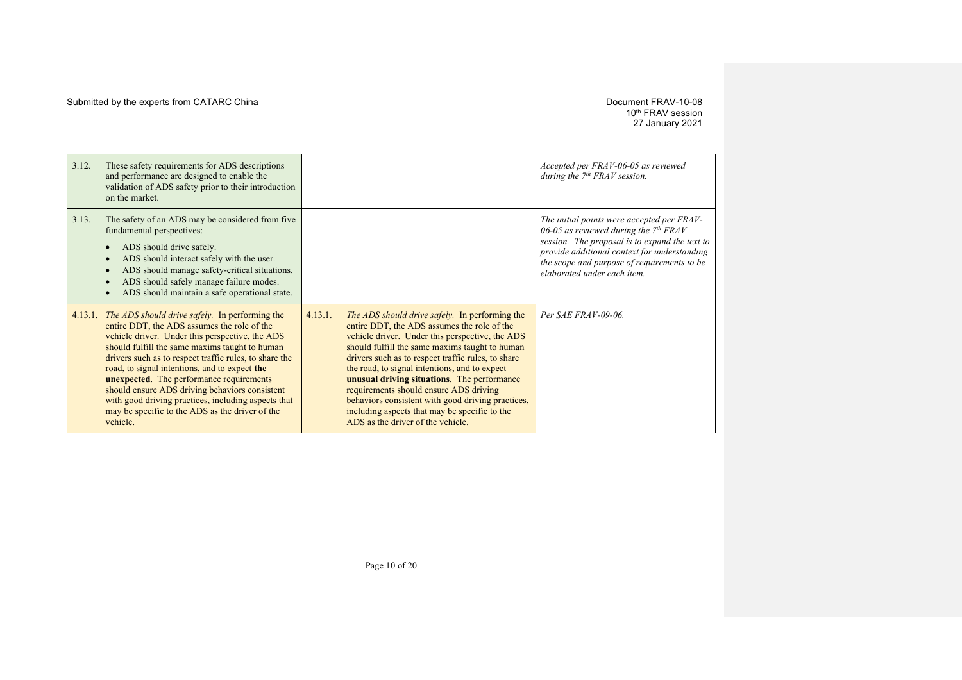# 10th FRAV session 27 January 2021

| 3.12.   | These safety requirements for ADS descriptions<br>and performance are designed to enable the<br>validation of ADS safety prior to their introduction<br>on the market.                                                                                                                                                                                                                                                                                                                                                                          |         |                                                                                                                                                                                                                                                                                                                                                                                                                                                                                                                                               | Accepted per FRAV-06-05 as reviewed<br>during the $7th FRAV$ session.                                                                                                                                                                                                 |
|---------|-------------------------------------------------------------------------------------------------------------------------------------------------------------------------------------------------------------------------------------------------------------------------------------------------------------------------------------------------------------------------------------------------------------------------------------------------------------------------------------------------------------------------------------------------|---------|-----------------------------------------------------------------------------------------------------------------------------------------------------------------------------------------------------------------------------------------------------------------------------------------------------------------------------------------------------------------------------------------------------------------------------------------------------------------------------------------------------------------------------------------------|-----------------------------------------------------------------------------------------------------------------------------------------------------------------------------------------------------------------------------------------------------------------------|
| 3.13.   | The safety of an ADS may be considered from five<br>fundamental perspectives:<br>ADS should drive safely.<br>ADS should interact safely with the user.<br>ADS should manage safety-critical situations.<br>ADS should safely manage failure modes.<br>ADS should maintain a safe operational state.                                                                                                                                                                                                                                             |         |                                                                                                                                                                                                                                                                                                                                                                                                                                                                                                                                               | The initial points were accepted per FRAV-<br>06-05 as reviewed during the $7th FRAV$<br>session. The proposal is to expand the text to<br>provide additional context for understanding<br>the scope and purpose of requirements to be<br>elaborated under each item. |
| 4.13.1. | <i>The ADS should drive safely.</i> In performing the<br>entire DDT, the ADS assumes the role of the<br>vehicle driver. Under this perspective, the ADS<br>should fulfill the same maxims taught to human<br>drivers such as to respect traffic rules, to share the<br>road, to signal intentions, and to expect the<br><b>unexpected.</b> The performance requirements<br>should ensure ADS driving behaviors consistent<br>with good driving practices, including aspects that<br>may be specific to the ADS as the driver of the<br>vehicle. | 4.13.1. | The ADS should drive safely. In performing the<br>entire DDT, the ADS assumes the role of the<br>vehicle driver. Under this perspective, the ADS<br>should fulfill the same maxims taught to human<br>drivers such as to respect traffic rules, to share<br>the road, to signal intentions, and to expect<br>unusual driving situations. The performance<br>requirements should ensure ADS driving<br>behaviors consistent with good driving practices,<br>including aspects that may be specific to the<br>ADS as the driver of the vehicle. | Per SAE FRAV-09-06.                                                                                                                                                                                                                                                   |

Page 10 of 20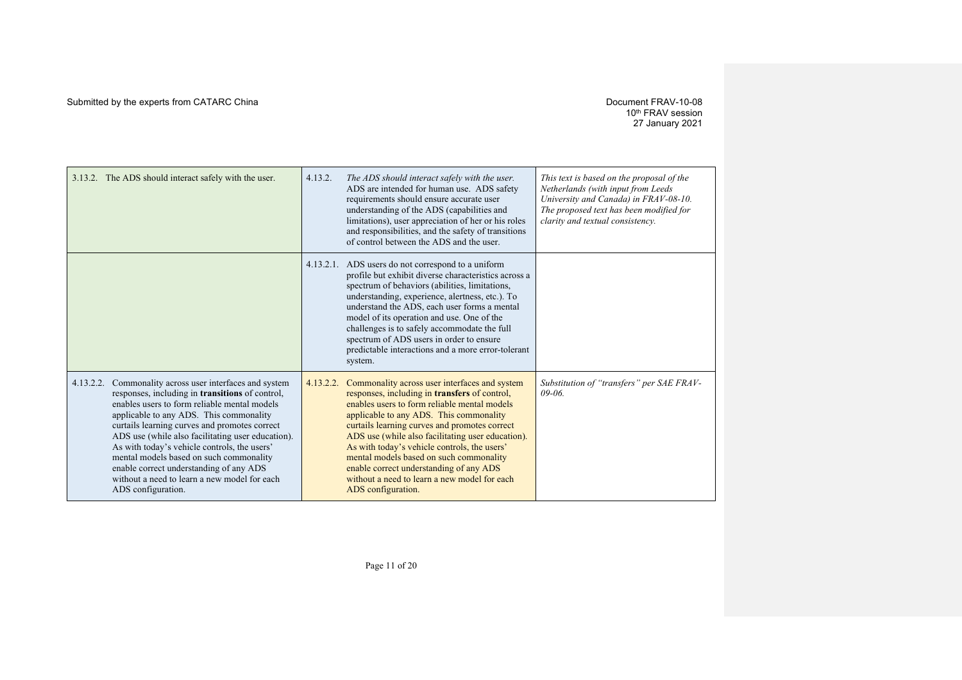## 10th FRAV session 27 January 2021

| 3.13.2. The ADS should interact safely with the user.                                                                                                                                                                                                                                                                                                                                                                                                                                                                      | 4.13.2.   | The ADS should interact safely with the user.<br>ADS are intended for human use. ADS safety<br>requirements should ensure accurate user<br>understanding of the ADS (capabilities and<br>limitations), user appreciation of her or his roles<br>and responsibilities, and the safety of transitions<br>of control between the ADS and the user.                                                                                                                                                             | This text is based on the proposal of the<br>Netherlands (with input from Leeds<br>University and Canada) in FRAV-08-10.<br>The proposed text has been modified for<br>clarity and textual consistency. |
|----------------------------------------------------------------------------------------------------------------------------------------------------------------------------------------------------------------------------------------------------------------------------------------------------------------------------------------------------------------------------------------------------------------------------------------------------------------------------------------------------------------------------|-----------|-------------------------------------------------------------------------------------------------------------------------------------------------------------------------------------------------------------------------------------------------------------------------------------------------------------------------------------------------------------------------------------------------------------------------------------------------------------------------------------------------------------|---------------------------------------------------------------------------------------------------------------------------------------------------------------------------------------------------------|
|                                                                                                                                                                                                                                                                                                                                                                                                                                                                                                                            |           | 4.13.2.1. ADS users do not correspond to a uniform<br>profile but exhibit diverse characteristics across a<br>spectrum of behaviors (abilities, limitations,<br>understanding, experience, alertness, etc.). To<br>understand the ADS, each user forms a mental<br>model of its operation and use. One of the<br>challenges is to safely accommodate the full<br>spectrum of ADS users in order to ensure<br>predictable interactions and a more error-tolerant<br>system.                                  |                                                                                                                                                                                                         |
| Commonality across user interfaces and system<br>4.13.2.2.<br>responses, including in transitions of control,<br>enables users to form reliable mental models<br>applicable to any ADS. This commonality<br>curtails learning curves and promotes correct<br>ADS use (while also facilitating user education).<br>As with today's vehicle controls, the users'<br>mental models based on such commonality<br>enable correct understanding of any ADS<br>without a need to learn a new model for each<br>ADS configuration. | 4.13.2.2. | Commonality across user interfaces and system<br>responses, including in transfers of control,<br>enables users to form reliable mental models<br>applicable to any ADS. This commonality<br>curtails learning curves and promotes correct<br>ADS use (while also facilitating user education).<br>As with today's vehicle controls, the users'<br>mental models based on such commonality<br>enable correct understanding of any ADS<br>without a need to learn a new model for each<br>ADS configuration. | Substitution of "transfers" per SAE FRAV-<br>$09 - 06$                                                                                                                                                  |

Page 11 of 20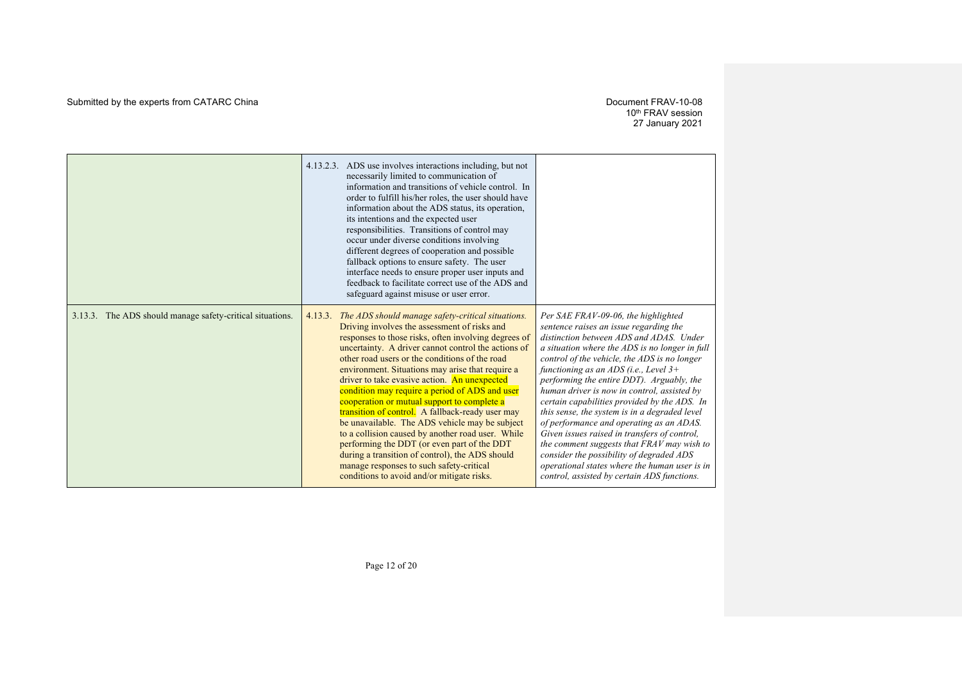## 10th FRAV session 27 January 2021

|                                                           | 4.13.2.3. ADS use involves interactions including, but not<br>necessarily limited to communication of<br>information and transitions of vehicle control. In<br>order to fulfill his/her roles, the user should have<br>information about the ADS status, its operation,<br>its intentions and the expected user<br>responsibilities. Transitions of control may<br>occur under diverse conditions involving<br>different degrees of cooperation and possible<br>fallback options to ensure safety. The user<br>interface needs to ensure proper user inputs and<br>feedback to facilitate correct use of the ADS and<br>safeguard against misuse or user error.                                                                                                                                                                        |                                                                                                                                                                                                                                                                                                                                                                                                                                                                                                                                                                                                                                                                                                                                                          |
|-----------------------------------------------------------|----------------------------------------------------------------------------------------------------------------------------------------------------------------------------------------------------------------------------------------------------------------------------------------------------------------------------------------------------------------------------------------------------------------------------------------------------------------------------------------------------------------------------------------------------------------------------------------------------------------------------------------------------------------------------------------------------------------------------------------------------------------------------------------------------------------------------------------|----------------------------------------------------------------------------------------------------------------------------------------------------------------------------------------------------------------------------------------------------------------------------------------------------------------------------------------------------------------------------------------------------------------------------------------------------------------------------------------------------------------------------------------------------------------------------------------------------------------------------------------------------------------------------------------------------------------------------------------------------------|
| 3.13.3. The ADS should manage safety-critical situations. | 4.13.3. The ADS should manage safety-critical situations.<br>Driving involves the assessment of risks and<br>responses to those risks, often involving degrees of<br>uncertainty. A driver cannot control the actions of<br>other road users or the conditions of the road<br>environment. Situations may arise that require a<br>driver to take evasive action. An unexpected<br>condition may require a period of ADS and user<br>cooperation or mutual support to complete a<br>transition of control. A fallback-ready user may<br>be unavailable. The ADS vehicle may be subject<br>to a collision caused by another road user. While<br>performing the DDT (or even part of the DDT<br>during a transition of control), the ADS should<br>manage responses to such safety-critical<br>conditions to avoid and/or mitigate risks. | Per SAE FRAV-09-06, the highlighted<br>sentence raises an issue regarding the<br>distinction between ADS and ADAS. Under<br>a situation where the ADS is no longer in full<br>control of the vehicle, the ADS is no longer<br>functioning as an ADS (i.e., Level $3+$<br>performing the entire DDT). Arguably, the<br>human driver is now in control, assisted by<br>certain capabilities provided by the ADS. In<br>this sense, the system is in a degraded level<br>of performance and operating as an ADAS.<br>Given issues raised in transfers of control,<br>the comment suggests that FRAV may wish to<br>consider the possibility of degraded ADS<br>operational states where the human user is in<br>control, assisted by certain ADS functions. |

Page 12 of 20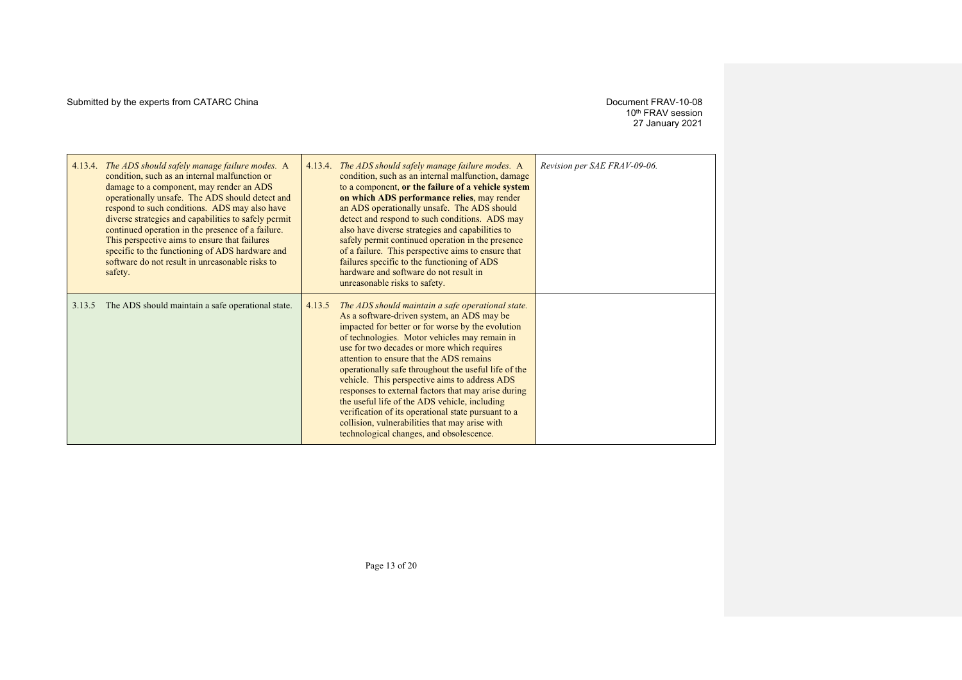10th FRAV session 27 January 2021

| 4.13.4. | The ADS should safely manage failure modes. A<br>condition, such as an internal malfunction or<br>damage to a component, may render an ADS<br>operationally unsafe. The ADS should detect and<br>respond to such conditions. ADS may also have<br>diverse strategies and capabilities to safely permit<br>continued operation in the presence of a failure.<br>This perspective aims to ensure that failures<br>specific to the functioning of ADS hardware and |        | 4.13.4. The ADS should safely manage failure modes. A<br>condition, such as an internal malfunction, damage<br>to a component, or the failure of a vehicle system<br>on which ADS performance relies, may render<br>an ADS operationally unsafe. The ADS should<br>detect and respond to such conditions. ADS may<br>also have diverse strategies and capabilities to<br>safely permit continued operation in the presence<br>of a failure. This perspective aims to ensure that                                                                                                                                                                                      | Revision per SAE FRAV-09-06. |
|---------|-----------------------------------------------------------------------------------------------------------------------------------------------------------------------------------------------------------------------------------------------------------------------------------------------------------------------------------------------------------------------------------------------------------------------------------------------------------------|--------|-----------------------------------------------------------------------------------------------------------------------------------------------------------------------------------------------------------------------------------------------------------------------------------------------------------------------------------------------------------------------------------------------------------------------------------------------------------------------------------------------------------------------------------------------------------------------------------------------------------------------------------------------------------------------|------------------------------|
|         | software do not result in unreasonable risks to<br>safety.                                                                                                                                                                                                                                                                                                                                                                                                      |        | failures specific to the functioning of ADS<br>hardware and software do not result in<br>unreasonable risks to safety.                                                                                                                                                                                                                                                                                                                                                                                                                                                                                                                                                |                              |
| 3.13.5  | The ADS should maintain a safe operational state.                                                                                                                                                                                                                                                                                                                                                                                                               | 4.13.5 | The ADS should maintain a safe operational state.<br>As a software-driven system, an ADS may be<br>impacted for better or for worse by the evolution<br>of technologies. Motor vehicles may remain in<br>use for two decades or more which requires<br>attention to ensure that the ADS remains<br>operationally safe throughout the useful life of the<br>vehicle. This perspective aims to address ADS<br>responses to external factors that may arise during<br>the useful life of the ADS vehicle, including<br>verification of its operational state pursuant to a<br>collision, vulnerabilities that may arise with<br>technological changes, and obsolescence. |                              |

Page 13 of 20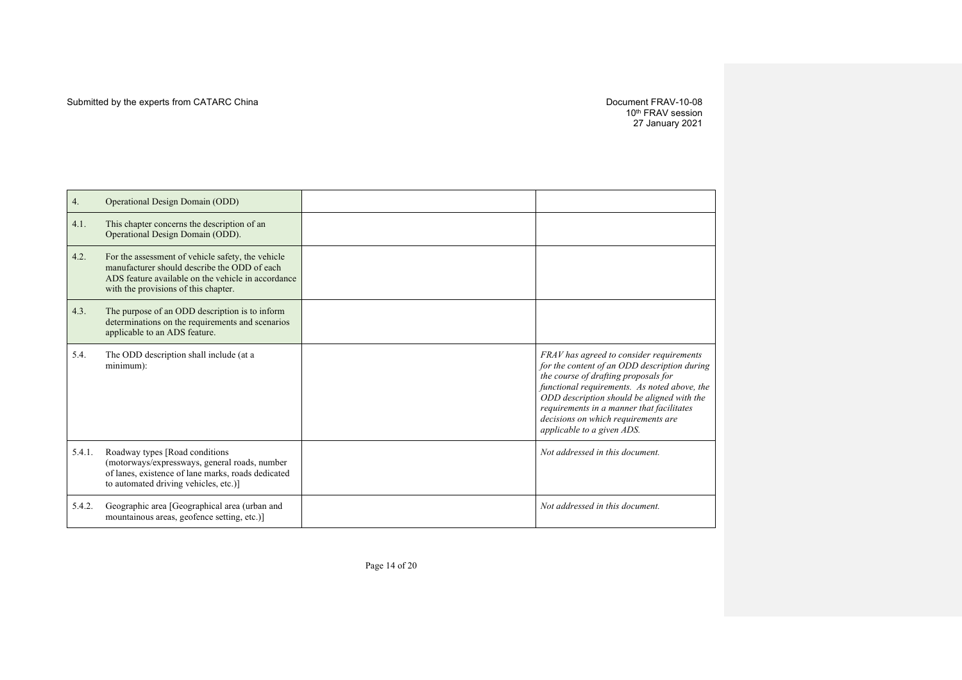10th FRAV session 27 January 2021

| <b>Operational Design Domain (ODD)</b><br>4. |                                                                                                                                                                                                 |                                                                                                                                                                                                                                                                                                                                                  |
|----------------------------------------------|-------------------------------------------------------------------------------------------------------------------------------------------------------------------------------------------------|--------------------------------------------------------------------------------------------------------------------------------------------------------------------------------------------------------------------------------------------------------------------------------------------------------------------------------------------------|
| 4.1.                                         | This chapter concerns the description of an<br>Operational Design Domain (ODD).                                                                                                                 |                                                                                                                                                                                                                                                                                                                                                  |
| 4.2.                                         | For the assessment of vehicle safety, the vehicle<br>manufacturer should describe the ODD of each<br>ADS feature available on the vehicle in accordance<br>with the provisions of this chapter. |                                                                                                                                                                                                                                                                                                                                                  |
| 4.3.                                         | The purpose of an ODD description is to inform<br>determinations on the requirements and scenarios<br>applicable to an ADS feature.                                                             |                                                                                                                                                                                                                                                                                                                                                  |
| 5.4.                                         | The ODD description shall include (at a<br>minimum):                                                                                                                                            | FRAV has agreed to consider requirements<br>for the content of an ODD description during<br>the course of drafting proposals for<br>functional requirements. As noted above, the<br>ODD description should be aligned with the<br>requirements in a manner that facilitates<br>decisions on which requirements are<br>applicable to a given ADS. |
| 5.4.1.                                       | Roadway types [Road conditions]<br>(motorways/expressways, general roads, number<br>of lanes, existence of lane marks, roads dedicated<br>to automated driving vehicles, etc.)]                 | Not addressed in this document.                                                                                                                                                                                                                                                                                                                  |
| 5.4.2.                                       | Geographic area [Geographical area (urban and<br>mountainous areas, geofence setting, etc.)]                                                                                                    | Not addressed in this document.                                                                                                                                                                                                                                                                                                                  |

Page 14 of 20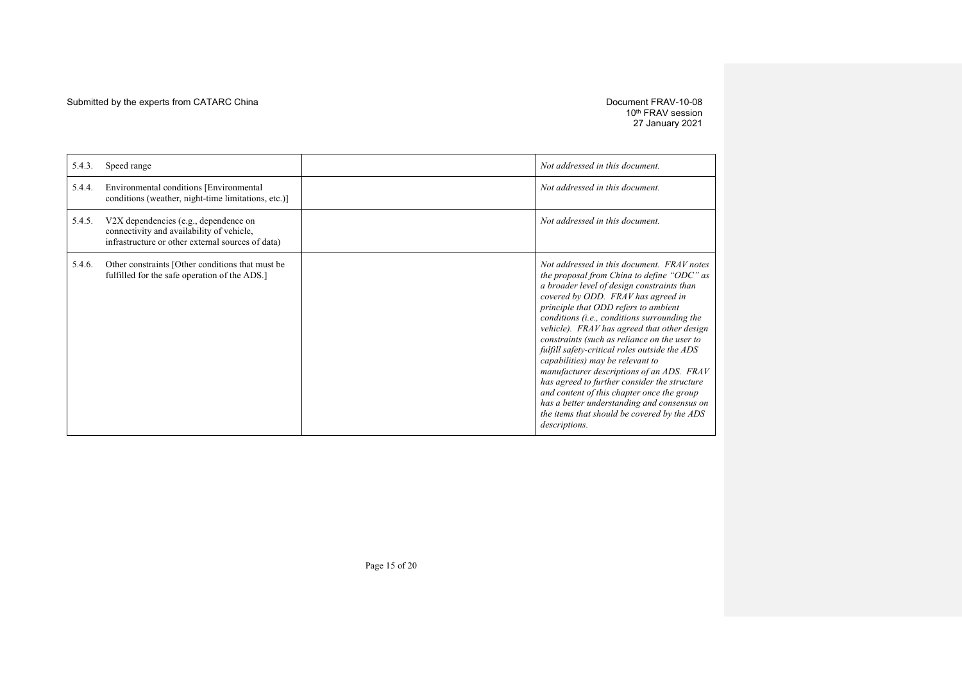10th FRAV session 27 January 2021

| 5.4.3. | Speed range                                                                                                                             | Not addressed in this document.                                                                                                                                                                                                                                                                                                                                                                                                                                                                                                                                                                                                                                                                                    |
|--------|-----------------------------------------------------------------------------------------------------------------------------------------|--------------------------------------------------------------------------------------------------------------------------------------------------------------------------------------------------------------------------------------------------------------------------------------------------------------------------------------------------------------------------------------------------------------------------------------------------------------------------------------------------------------------------------------------------------------------------------------------------------------------------------------------------------------------------------------------------------------------|
| 5.4.4. | Environmental conditions [Environmental<br>conditions (weather, night-time limitations, etc.)]                                          | Not addressed in this document.                                                                                                                                                                                                                                                                                                                                                                                                                                                                                                                                                                                                                                                                                    |
| 5.4.5. | V2X dependencies (e.g., dependence on<br>connectivity and availability of vehicle,<br>infrastructure or other external sources of data) | Not addressed in this document.                                                                                                                                                                                                                                                                                                                                                                                                                                                                                                                                                                                                                                                                                    |
| 5.4.6. | Other constraints [Other conditions that must be<br>fulfilled for the safe operation of the ADS.]                                       | Not addressed in this document. FRAV notes<br>the proposal from China to define "ODC" as<br>a broader level of design constraints than<br>covered by ODD. FRAV has agreed in<br>principle that ODD refers to ambient<br>conditions (i.e., conditions surrounding the<br>vehicle). FRAV has agreed that other design<br>constraints (such as reliance on the user to<br>fulfill safety-critical roles outside the ADS<br>capabilities) may be relevant to<br>manufacturer descriptions of an ADS. FRAV<br>has agreed to further consider the structure<br>and content of this chapter once the group<br>has a better understanding and consensus on<br>the items that should be covered by the ADS<br>descriptions. |

Page 15 of 20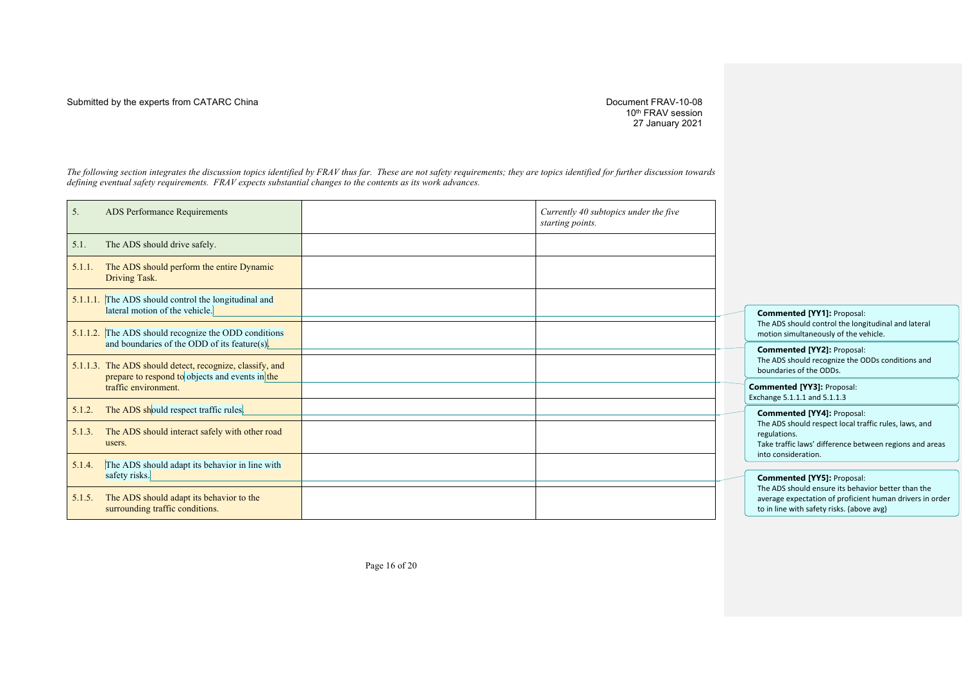#### Submitted by the experts from CATARC China  $D$  Document FRAV-10-08

10th FRAV session 27 January 2021

*The following section integrates the discussion topics identified by FRAV thus far. These are not safety requirements; they are topics identified for further discussion towards defining eventual safety requirements. FRAV expects substantial changes to the contents as its work advances.*

| 5.                      | ADS Performance Requirements                                                                                | Currently 40 subtopics under the five<br>starting points. |                                                                                                                                                                   |
|-------------------------|-------------------------------------------------------------------------------------------------------------|-----------------------------------------------------------|-------------------------------------------------------------------------------------------------------------------------------------------------------------------|
| 5.1.                    | The ADS should drive safely.                                                                                |                                                           |                                                                                                                                                                   |
| 5.1.1.<br>Driving Task. | The ADS should perform the entire Dynamic                                                                   |                                                           |                                                                                                                                                                   |
|                         | 5.1.1.1. The ADS should control the longitudinal and<br>lateral motion of the vehicle.                      |                                                           | <b>Commented [YY1]: Proposal:</b><br>The ADS should control the longitudina                                                                                       |
|                         | 5.1.1.2. The ADS should recognize the ODD conditions<br>and boundaries of the ODD of its feature(s).        |                                                           | motion simultaneously of the vehicle.                                                                                                                             |
|                         | 5.1.1.3. The ADS should detect, recognize, classify, and<br>prepare to respond to objects and events in the |                                                           | <b>Commented [YY2]: Proposal:</b><br>The ADS should recognize the ODDs co<br>boundaries of the ODDs.                                                              |
|                         | traffic environment.                                                                                        |                                                           | <b>Commented [YY3]: Proposal:</b><br>Exchange 5.1.1.1 and 5.1.1.3                                                                                                 |
| 5.1.2.                  | The ADS should respect traffic rules.                                                                       |                                                           | <b>Commented [YY4]: Proposal:</b>                                                                                                                                 |
| 5.1.3.<br>users.        | The ADS should interact safely with other road                                                              |                                                           | The ADS should respect local traffic rul<br>regulations.<br>Take traffic laws' difference between r<br>into consideration.                                        |
| 5.1.4.                  | The ADS should adapt its behavior in line with                                                              |                                                           |                                                                                                                                                                   |
| safety risks.<br>5.1.5. | The ADS should adapt its behavior to the<br>surrounding traffic conditions.                                 |                                                           | <b>Commented [YY5]: Proposal:</b><br>The ADS should ensure its behavior bet<br>average expectation of proficient hum<br>to in line with safety risks. (above avg) |

The ADS should control the longitudinal and lateral motion simultaneously of the vehicle. **Commented [YY2]:** Proposal: The ADS should recognize the ODDs conditions and boundaries of the ODDs. **Commented [YY3]:** Proposal: hange 5.1.1.1 and 5.1.1.3 **Commented [YY4]:** Proposal: The ADS should respect local traffic rules, laws, and regulations.

Take traffic laws' difference between regions and areas nto consideration.

**Commented [YY5]:** Proposal: The ADS should ensure its behavior better than the verage expectation of proficient human drivers in order

Page 16 of 20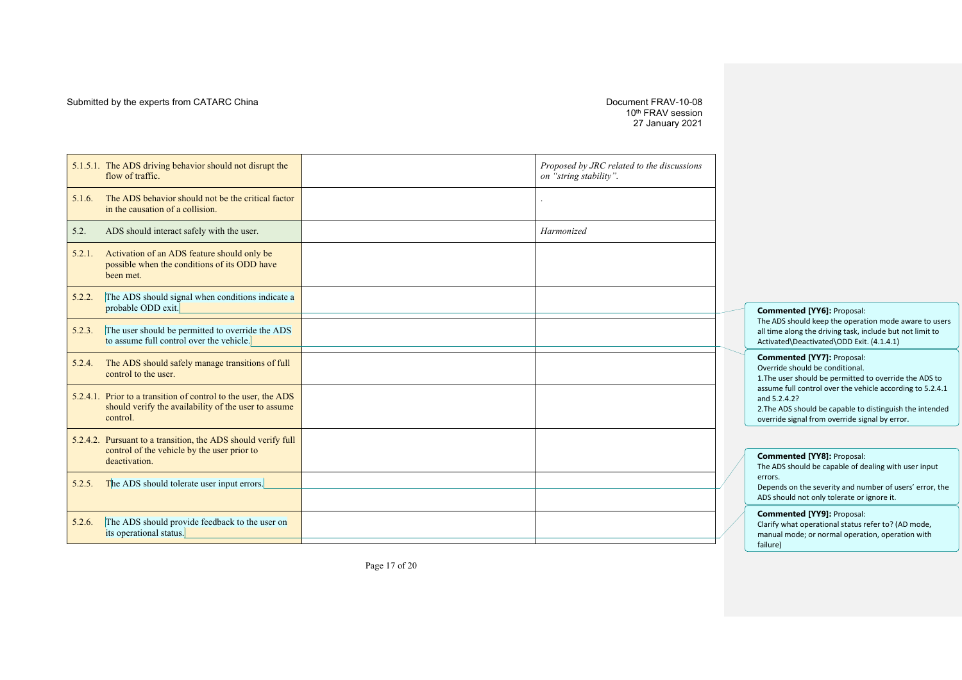#### Submitted by the experts from CATARC China  $D$  Document FRAV-10-08

10<sup>th</sup> FRAV session 27 January 2021

|        | 5.1.5.1. The ADS driving behavior should not disrupt the<br>flow of traffic.                                                       | Proposed by JRC related to the discussions<br>on "string stability". |
|--------|------------------------------------------------------------------------------------------------------------------------------------|----------------------------------------------------------------------|
| 5.1.6. | The ADS behavior should not be the critical factor<br>in the causation of a collision.                                             | $\bullet$                                                            |
| 5.2.   | ADS should interact safely with the user.                                                                                          | Harmonized                                                           |
| 5.2.1. | Activation of an ADS feature should only be<br>possible when the conditions of its ODD have<br>been met.                           |                                                                      |
| 5.2.2. | The ADS should signal when conditions indicate a<br>probable ODD exit.                                                             |                                                                      |
| 5.2.3. | The user should be permitted to override the ADS<br>to assume full control over the vehicle.                                       |                                                                      |
| 5.2.4. | The ADS should safely manage transitions of full<br>control to the user.                                                           |                                                                      |
|        | 5.2.4.1. Prior to a transition of control to the user, the ADS<br>should verify the availability of the user to assume<br>control. |                                                                      |
|        | 5.2.4.2. Pursuant to a transition, the ADS should verify full<br>control of the vehicle by the user prior to<br>deactivation.      |                                                                      |
| 5.2.5. | The ADS should tolerate user input errors.                                                                                         |                                                                      |
| 5.2.6. | The ADS should provide feedback to the user on<br>its operational status.                                                          |                                                                      |

**Commented [YY6]:** Proposal:

The ADS should keep the operation mode aware to users all time along the driving task, include but not limit to Activated\Deactivated\ODD Exit. (4.1.4.1)

#### **Commented [YY7]:** Proposal:

Override should be conditional. 1.The user should be permitted to override the ADS to assume full control over the vehicle according to 5.2.4.1 and 5.2.4.2? 2.The ADS should be capable to distinguish the intended

override signal from override signal by error.

#### **Commented [YY8]:** Proposal:

The ADS should be capable of dealing with user input errors.

Depends on the severity and number of users' error, the ADS should not only tolerate or ignore it.

#### **Commented [YY9]:** Proposal:

Clarify what operational status refer to? (AD mode, manual mode; or normal operation, operation with failure)

Page 17 of 20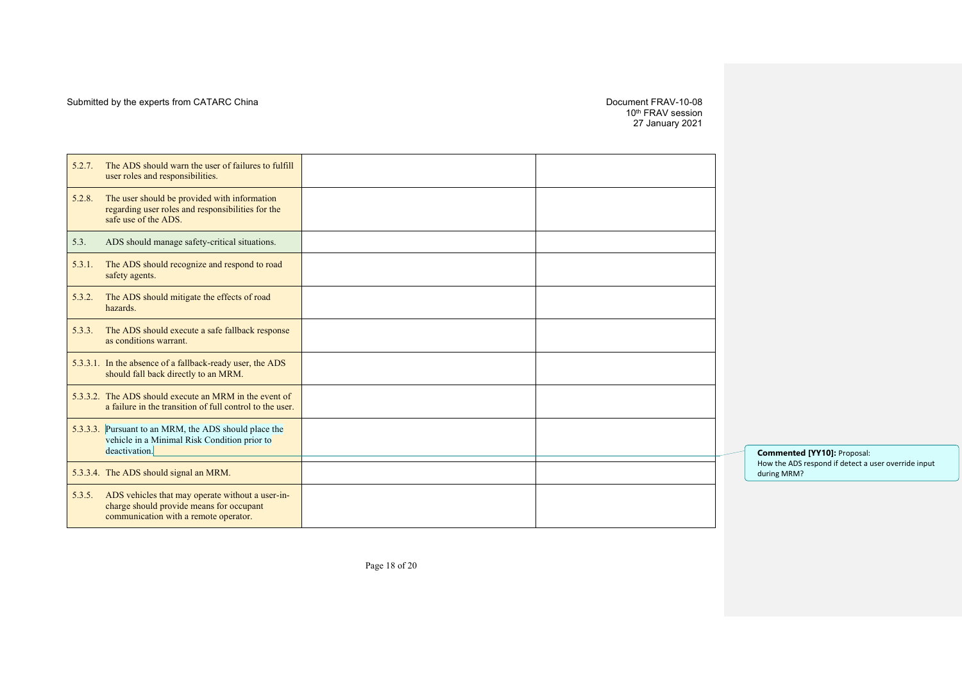10th FRAV session 27 January 2021

| 5.2.7. | The ADS should warn the user of failures to fulfill<br>user roles and responsibilities.                                               |  |
|--------|---------------------------------------------------------------------------------------------------------------------------------------|--|
| 5.2.8. | The user should be provided with information<br>regarding user roles and responsibilities for the<br>safe use of the ADS.             |  |
| 5.3.   | ADS should manage safety-critical situations.                                                                                         |  |
| 5.3.1. | The ADS should recognize and respond to road<br>safety agents.                                                                        |  |
| 5.3.2. | The ADS should mitigate the effects of road<br>hazards.                                                                               |  |
| 5.3.3. | The ADS should execute a safe fallback response<br>as conditions warrant.                                                             |  |
|        | 5.3.3.1. In the absence of a fallback-ready user, the ADS<br>should fall back directly to an MRM.                                     |  |
|        | 5.3.3.2. The ADS should execute an MRM in the event of<br>a failure in the transition of full control to the user.                    |  |
|        | 5.3.3.3. Pursuant to an MRM, the ADS should place the<br>vehicle in a Minimal Risk Condition prior to<br>deactivation.                |  |
|        | 5.3.3.4. The ADS should signal an MRM.                                                                                                |  |
| 5.3.5. | ADS vehicles that may operate without a user-in-<br>charge should provide means for occupant<br>communication with a remote operator. |  |

**Commented [YY10]:** Proposal: How the ADS respond if detect a user override input during MRM?

Page 18 of 20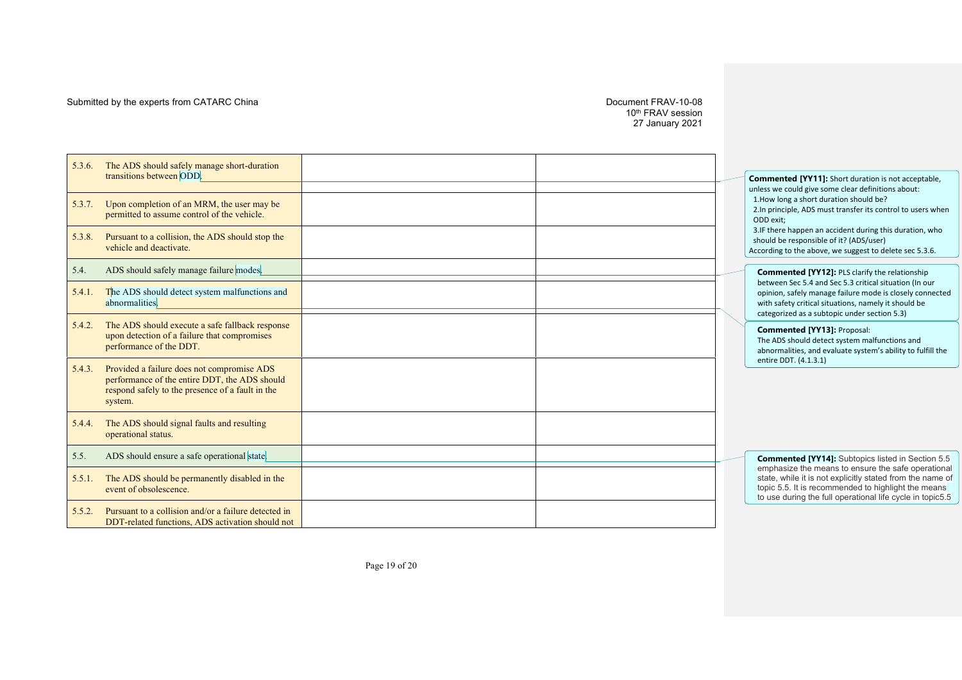## Submitted by the experts from CATARC China

#### -10 - 0 8 10th FRAV session 27 January 2021

| 5.3.6. | The ADS should safely manage short-duration                                                                                                                |  |                                                                                                                                                                                                                                     |
|--------|------------------------------------------------------------------------------------------------------------------------------------------------------------|--|-------------------------------------------------------------------------------------------------------------------------------------------------------------------------------------------------------------------------------------|
|        | transitions between ODD.                                                                                                                                   |  | <b>Commented [YY11]:</b> Short duration is not acceptable,<br>unless we could give some clear definitions about:                                                                                                                    |
| 5.3.7. | Upon completion of an MRM, the user may be<br>permitted to assume control of the vehicle.                                                                  |  | 1. How long a short duration should be?<br>2.In principle, ADS must transfer its control to users when<br>ODD exit:                                                                                                                 |
| 5.3.8. | Pursuant to a collision, the ADS should stop the<br>vehicle and deactivate.                                                                                |  | 3.IF there happen an accident during this duration, who<br>should be responsible of it? (ADS/user)<br>According to the above, we suggest to delete sec 5.3.6.                                                                       |
| 5.4.   | ADS should safely manage failure modes.                                                                                                                    |  | <b>Commented [YY12]: PLS clarify the relationship</b>                                                                                                                                                                               |
| 5.4.1. | The ADS should detect system malfunctions and<br>abnormalities.                                                                                            |  | between Sec 5.4 and Sec 5.3 critical situation (In our<br>opinion, safely manage failure mode is closely connected<br>with safety critical situations, namely it should be<br>categorized as a subtopic under section 5.3)          |
| 5.4.2. | The ADS should execute a safe fallback response<br>upon detection of a failure that compromises<br>performance of the DDT.                                 |  | <b>Commented [YY13]: Proposal:</b><br>The ADS should detect system malfunctions and<br>abnormalities, and evaluate system's ability to fulfill the                                                                                  |
| 5.4.3. | Provided a failure does not compromise ADS<br>performance of the entire DDT, the ADS should<br>respond safely to the presence of a fault in the<br>system. |  | entire DDT. (4.1.3.1)                                                                                                                                                                                                               |
| 5.4.4. | The ADS should signal faults and resulting<br>operational status.                                                                                          |  |                                                                                                                                                                                                                                     |
| 5.5.   | ADS should ensure a safe operational state.                                                                                                                |  | <b>Commented [YY14]:</b> Subtopics listed in Section 5.5                                                                                                                                                                            |
| 5.5.1. | The ADS should be permanently disabled in the<br>event of obsolescence.                                                                                    |  | emphasize the means to ensure the safe operational<br>state, while it is not explicitly stated from the name of<br>topic 5.5. It is recommended to highlight the means<br>to use during the full operational life cycle in topic5.5 |
| 5.5.2. | Pursuant to a collision and/or a failure detected in<br>DDT-related functions, ADS activation should not                                                   |  |                                                                                                                                                                                                                                     |

Page 19 of 20